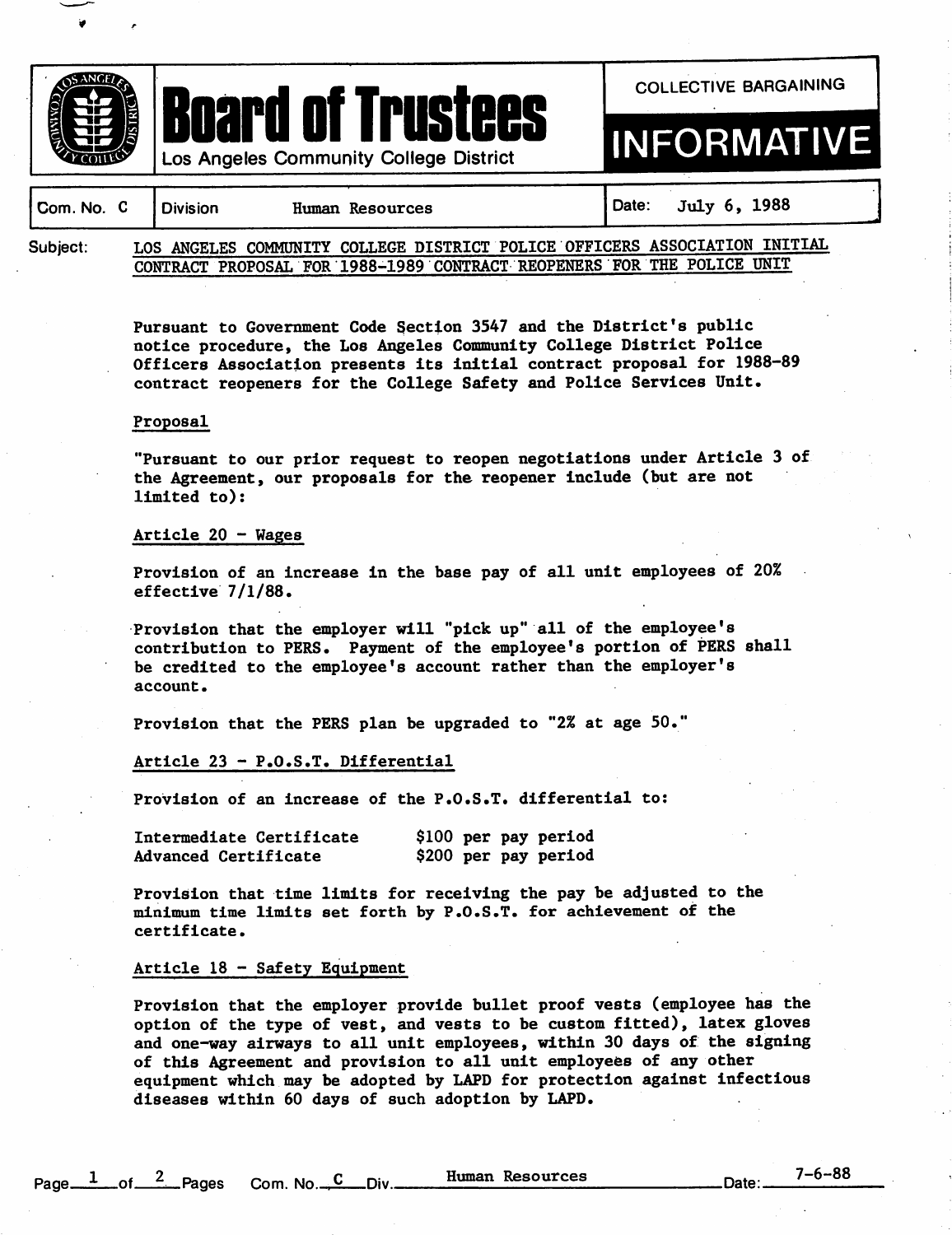



COLLECTIVE BARGAINING

# INFORMATIVE

| Com. No. C   Division |  | Human Resources |  |  | Date: $July 6, 1988$ |                                                                            |  |
|-----------------------|--|-----------------|--|--|----------------------|----------------------------------------------------------------------------|--|
| Subject:              |  |                 |  |  |                      | LOS ANGELES COMMUNITY COLLEGE DISTRICT POLICE OFFICERS ASSOCIATION INITIAL |  |
|                       |  |                 |  |  |                      | CONTRACT PROPOSAL FOR 1988-1989 CONTRACT REOPENERS FOR THE POLICE UNIT     |  |

Pursuant to Government Code 3ectlon 3547 and the District's public notice procedure, the Los Angeles Community College District Police Officers Association presents its initial contract proposal for 1988-89 contract reopeners for the College Safety and Police Services Unit,

#### Proposal

"Pursuant to our prior request to reopen negotiations under Article 3 of the Agreement, our proposals for the reopener include (but are not  $limited$  to):

#### Article  $20 - W$

Provision of an increase in the base pay of all unit employees of 20% effective  $7/1/88$ .

Provision that the employer will "pick up" all of the employee's contribution to PERS. Payment of the employee's portion of PERS shall be credited to the employee's account rather than the employer's account.

Provision that the PERS plan be upgraded to "2% at age 50."

#### Article 23 - P.O.S.T. Differential

Provision of an increase of the P.O.S.T. differential to:

| Intermediate Certificate    |  | \$100 per pay period |
|-----------------------------|--|----------------------|
| <b>Advanced Certificate</b> |  | \$200 per pay period |

Provision that time limits for receiving the pay be adjusted to the minimum time limits set forth by P.O.S.T. for achievement of the certificate.

## Article  $18$  - Safety Equipment

Provision that the employer provide bullet proof vests (employee has the option of the type of vest, and vests to be custom fitted), latex gloves and one-way airways to all unit employees, within 30 days of the signing of this Agreement and provision to all unit employees of any other equipment which may be adopted by LAPD for protection against infectious diseases within 60 days of such adoption by LAPD.